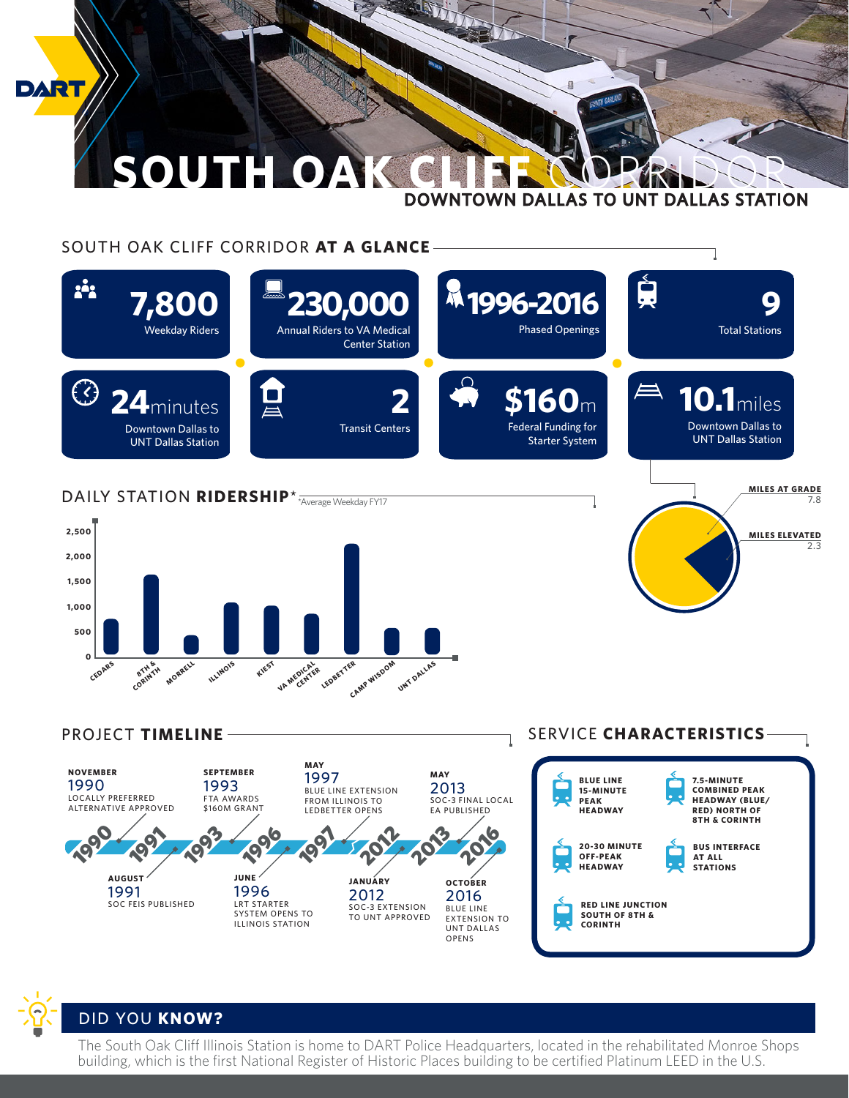

## SOUTH OAK CLIFF CORRIDOR **AT A GLANCE**



SERVICE **CHARACTERISTICS** 1995 **19 NOVEMBER** 1990 LOCALLY PREFERRED ALTERNATIVE APPROVED **MAY**  2013 SOC-3 FINAL LOCAL EA PUBLISHED **AUGUST** 1991 SOC FEIS PUBLISHED PROJECT **TIMELINE** 2012 **BLUE LINE 15-MINUTE PEAK HEADWAY 20-30 MINUTE OFF-PEAK HEADWAY RED LINE JUNCTION SOUTH OF 8TH & CORINTH BUS INTERFACE ASSESSMENT ASSESSMENT POST POST PLAN AND ALL PROPERTY AND ALL PROPERTY.** 1996 1997 **STATIONS** 2013 2016 **SEPTEMBER** 1993 FTA AWARDS \$160M GRANT **JUNE** 1996 LRT STARTER SYSTEM OPENS TO ILLINOIS STATION **MAY**  1997 BLUE LINE EXTENSION FROM ILLINOIS TO LEDBETTER OPENS **JANUARY** 2012 SOC-3 EXTENSION TO UNT APPROVED **OCTOBER** 2016 BLUE LINE EXTENSION TO UNT DALLAS OPENS **7.5-MINUTE COMBINED PEAK HEADWAY (BLUE/ RED) NORTH OF 8TH & CORINTH**



## DID YOU **KNOW?**

The South Oak Cliff Illinois Station is home to DART Police Headquarters, located in the rehabilitated Monroe Shops building, which is the first National Register of Historic Places building to be certified Platinum LEED in the U.S.